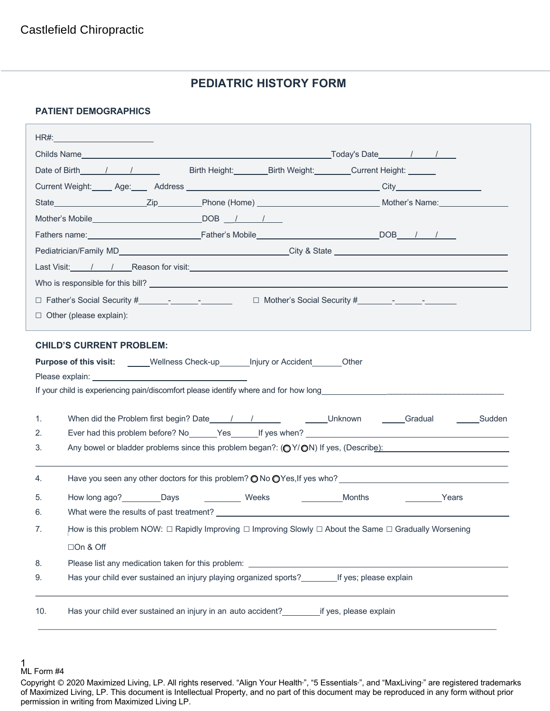# **PEDIATRIC HISTORY FORM**

## **PATIENT DEMOGRAPHICS**

|                                                                                            | HR#:____________________________                                                                                  |                                                                                             |                        |  |  |
|--------------------------------------------------------------------------------------------|-------------------------------------------------------------------------------------------------------------------|---------------------------------------------------------------------------------------------|------------------------|--|--|
|                                                                                            |                                                                                                                   |                                                                                             |                        |  |  |
|                                                                                            | Date of Birth 1 1                                                                                                 | Birth Height: Birth Weight: Current Height: Current Beight:                                 |                        |  |  |
|                                                                                            |                                                                                                                   |                                                                                             |                        |  |  |
|                                                                                            |                                                                                                                   |                                                                                             |                        |  |  |
|                                                                                            |                                                                                                                   |                                                                                             |                        |  |  |
|                                                                                            |                                                                                                                   |                                                                                             |                        |  |  |
|                                                                                            |                                                                                                                   |                                                                                             |                        |  |  |
|                                                                                            |                                                                                                                   |                                                                                             |                        |  |  |
|                                                                                            |                                                                                                                   |                                                                                             |                        |  |  |
|                                                                                            |                                                                                                                   |                                                                                             |                        |  |  |
|                                                                                            | $\Box$ Other (please explain):                                                                                    |                                                                                             |                        |  |  |
|                                                                                            |                                                                                                                   |                                                                                             |                        |  |  |
|                                                                                            | <b>CHILD'S CURRENT PROBLEM:</b>                                                                                   |                                                                                             |                        |  |  |
| <b>Purpose of this visit:</b> _____Wellness Check-up_______ Injury or Accident_______Other |                                                                                                                   |                                                                                             |                        |  |  |
|                                                                                            |                                                                                                                   |                                                                                             |                        |  |  |
|                                                                                            |                                                                                                                   |                                                                                             |                        |  |  |
| 1.                                                                                         |                                                                                                                   |                                                                                             |                        |  |  |
| 2.                                                                                         |                                                                                                                   |                                                                                             |                        |  |  |
| 3.                                                                                         | Any bowel or bladder problems since this problem began?: $\left(\bigcirc Y/\bigcirc N\right)$ If yes, (Describe): |                                                                                             |                        |  |  |
|                                                                                            |                                                                                                                   |                                                                                             |                        |  |  |
| 4.                                                                                         |                                                                                                                   | Have you seen any other doctors for this problem? $\bigcirc$ No $\bigcirc$ Yes, If yes who? |                        |  |  |
| 5.                                                                                         | How long ago? Days                                                                                                | Weeks<br>Months                                                                             | <b>Example 2</b> Years |  |  |
| 6.                                                                                         |                                                                                                                   |                                                                                             |                        |  |  |
| 7.                                                                                         | How is this problem NOW: □ Rapidly Improving □ Improving Slowly □ About the Same □ Gradually Worsening            |                                                                                             |                        |  |  |
|                                                                                            | □On & Off                                                                                                         |                                                                                             |                        |  |  |
| 8.                                                                                         |                                                                                                                   |                                                                                             |                        |  |  |
| 9.                                                                                         | Has your child ever sustained an injury playing organized sports? If yes; please explain                          |                                                                                             |                        |  |  |
|                                                                                            |                                                                                                                   |                                                                                             |                        |  |  |
| 10.                                                                                        |                                                                                                                   |                                                                                             |                        |  |  |
|                                                                                            |                                                                                                                   |                                                                                             |                        |  |  |

<sup>1</sup> 

ML Form #4

Copyright © 2020 Maximized Living, LP. All rights reserved. "Align Your Health<sup>®</sup>, "5 Essentials<sup>®</sup>, and "MaxLiving<sup>®</sup> are registered trademarks of Maximized Living, LP. This document is Intellectual Property, and no part of this document may be reproduced in any form without prior permission in writing from Maximized Living LP.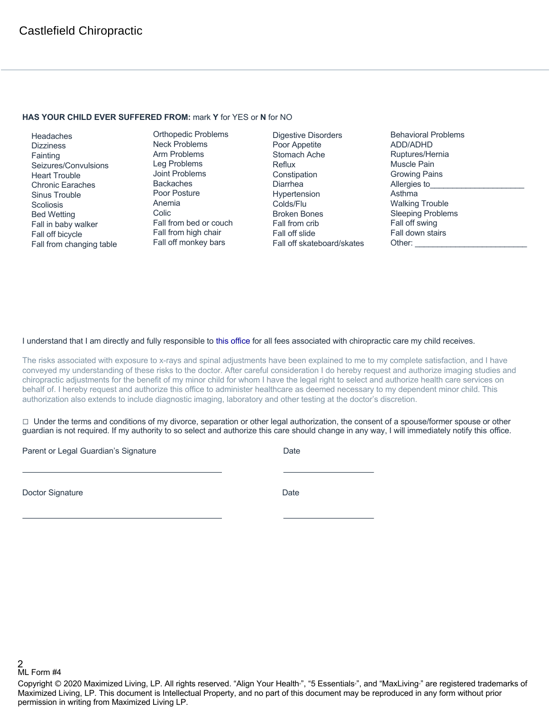#### **HAS YOUR CHILD EVER SUFFERED FROM:** mark **Y** for YES or **N** for NO

 Headaches **Dizziness**  Fainting Seizures/Convulsions Heart Trouble Chronic Earaches Sinus Trouble **Scoliosis**  Bed Wetting Fall in baby walker Fall off bicycle Fall from changing table

Orthopedic Problems Neck Problems Arm Problems Leg Problems Joint Problems Backaches Poor Posture Anemia Colic Fall from bed or couch Fall from high chair Fall off monkey bars

Digestive Disorders Poor Appetite Stomach Ache Reflux **Constipation** Diarrhea Hypertension Colds/Flu Broken Bones Fall from crib Fall off slide Fall off skateboard/skates Behavioral Problems ADD/ADHD Ruptures/Hernia Muscle Pain Growing Pains Allergies to Asthma Walking Trouble Sleeping Problems Fall off swing Fall down stairs Other:

### I understand that I am directly and fully responsible to this office for all fees associated with chiropractic care my child receives.

The risks associated with exposure to x-rays and spinal adjustments have been explained to me to my complete satisfaction, and I have conveyed my understanding of these risks to the doctor. After careful consideration I do hereby request and authorize imaging studies and chiropractic adjustments for the benefit of my minor child for whom I have the legal right to select and authorize health care services on behalf of. I hereby request and authorize this office to administer healthcare as deemed necessary to my dependent minor child. This authorization also extends to include diagnostic imaging, laboratory and other testing at the doctor's discretion.

 $\Box$  Under the terms and conditions of my divorce, separation or other legal authorization, the consent of a spouse/former spouse or other guardian is not required. If my authority to so select and authorize this care should change in any way, I will immediately notify this office.

Parent or Legal Guardian's Signature Date Date

Doctor Signature Date

2 ML Form #4

Copyright © 2020 Maximized Living, LP. All rights reserved. "Align Your Health<sub>"</sub>, "5 Essentials<sub>"</sub>, and "MaxLiving<sub>"</sub> are registered trademarks of Maximized Living, LP. This document is Intellectual Property, and no part of this document may be reproduced in any form without prior permission in writing from Maximized Living LP.